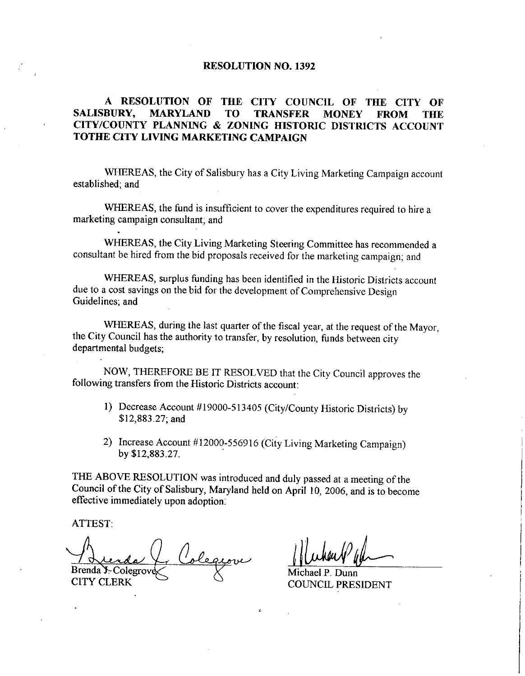## RESOLUTION NO. 1392

## A RESOLUTION OF THE CITY COUNCIL OF THE CITY OF SALISBURY, MARYLAND TO TRANSFER MONEY FROM THE CITY/COUNTY PLANNING & ZONING HISTORIC DISTRICTS ACCOUNT TOTHE CITY LIVING MARKETING CAMPAIGN

WHEREAS, the City of Salisbury has a City Living Marketing Campaign account established; and

WHEREAS, the fund is insufficient to cover the expenditures required to hire a marketing campaign consultant; and

WHEREAS, the City Living Marketing Steering Committee has recommended a consultant be hired from the bid proposals received for the marketing campaign; and

WHEREAS, surplus funding has been identified in the Historic Districts account due to a cost savings on the bid for the development of Comprehensive Design Guidelines; and

WHEREAS, during the last quarter of the fiscal year, at the request of the Mayor, the City Council has the authority to transfer, by resolution, funds between city departmental budgets

NOW, THEREFORE BE IT RESOLVED that the City Council approves the following transfers from the Historic Districts account

- 1) Decrease Account #19000-513405 (City/County Historic Districts) by \$12,883.27; and
- 2) Increase Account #12000-556916 (City Living Marketing Campaign)<br>by \$12,883.27.

THE ABOVE RESOLUTION was introduced and duly passed at a meeting of the Council of the City of Salisbury, Maryland held on April 10, 2006, and is to become effective immediately upon adoption

ATTEST

en<br>Cervi Brenda Y. Colegrov CITY CLERK

fied in the Historic Distric<br>of Comprehensive Design<br>cal year, at the request of<br>olution, funds between city<br>at the City Council approvent:<br>at the City Council approvent:<br>County Historic Districts)<br>Living Marketing Campaig

Dunn COUNCIL PRESIDENT